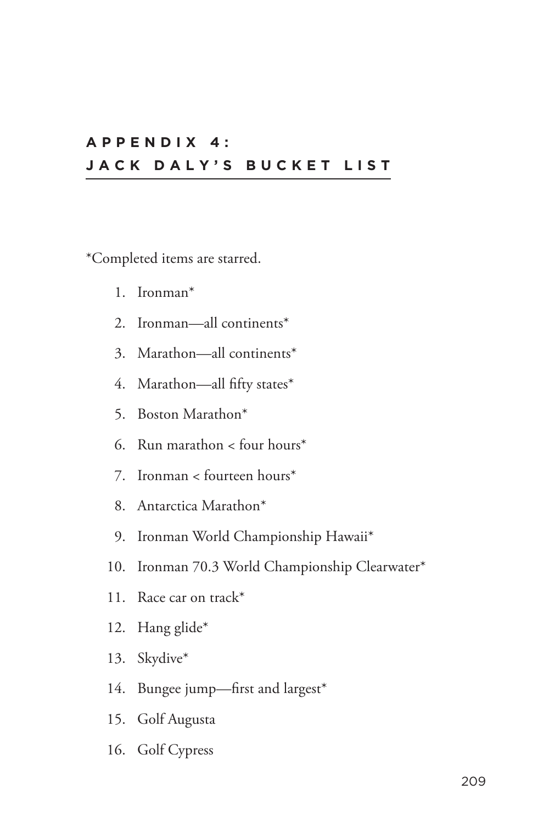## **A P P E N D I X 4 : JACK DALY'S BUCKET LIST**

\*Completed items are starred.

- 1. Ironman\*
- 2. Ironman—all continents\*
- 3. Marathon—all continents\*
- 4. Marathon—all fifty states\*
- 5. Boston Marathon\*
- 6. Run marathon  $\lt$  four hours<sup>\*</sup>
- 7. Ironman < fourteen hours\*
- 8. Antarctica Marathon\*
- 9. Ironman World Championship Hawaii\*
- 10. Ironman 70.3 World Championship Clearwater\*
- 11. Race car on track\*
- 12. Hang glide\*
- 13. Skydive\*
- 14. Bungee jump—first and largest\*
- 15. Golf Augusta
- 16. Golf Cypress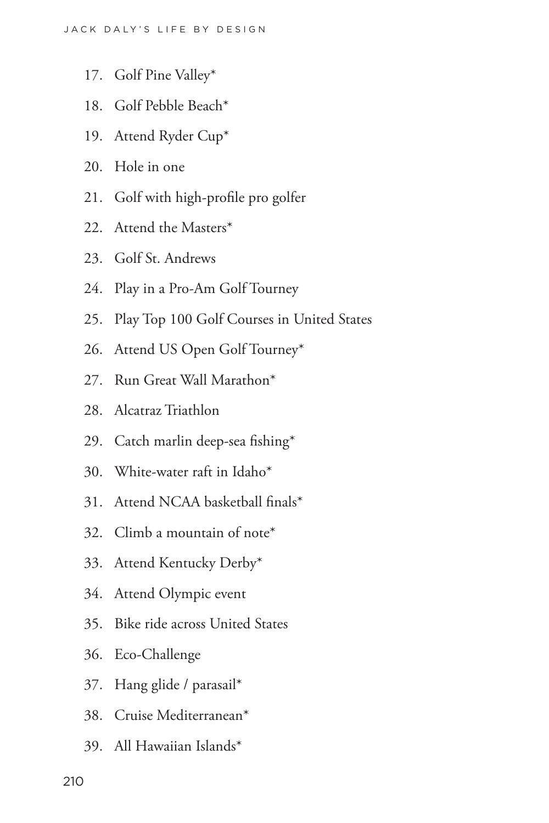- 17. Golf Pine Valley\*
- 18. Golf Pebble Beach\*
- 19. Attend Ryder Cup\*
- 20. Hole in one
- 21. Golf with high-profile pro golfer
- 22. Attend the Masters\*
- 23. Golf St. Andrews
- 24. Play in a Pro-Am Golf Tourney
- 25. Play Top 100 Golf Courses in United States
- 26. Attend US Open Golf Tourney\*
- 27. Run Great Wall Marathon\*
- 28. Alcatraz Triathlon
- 29. Catch marlin deep-sea fishing\*
- 30. White-water raft in Idaho\*
- 31. Attend NCAA basketball finals\*
- 32. Climb a mountain of note\*
- 33. Attend Kentucky Derby\*
- 34. Attend Olympic event
- 35. Bike ride across United States
- 36. Eco-Challenge
- 37. Hang glide / parasail\*
- 38. Cruise Mediterranean\*
- 39. All Hawaiian Islands\*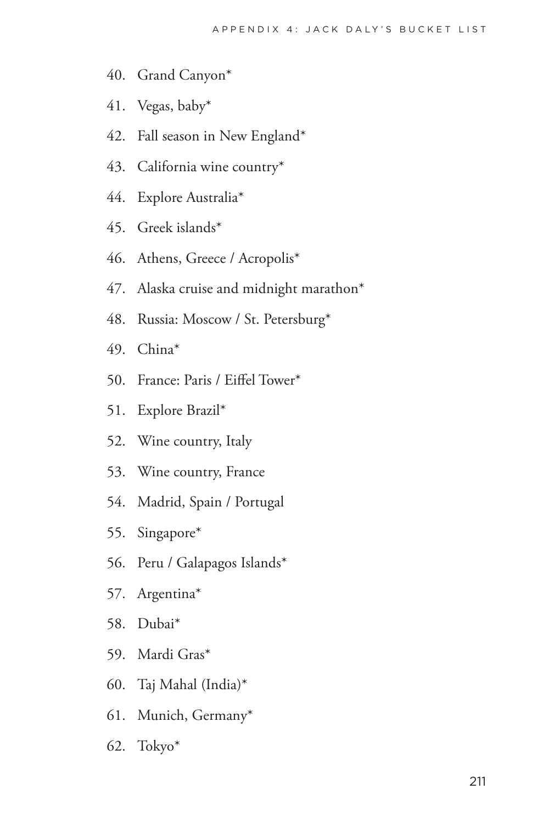- 40. Grand Canyon\*
- 41. Vegas, baby\*
- 42. Fall season in New England\*
- 43. California wine country\*
- 44. Explore Australia\*
- 45. Greek islands\*
- 46. Athens, Greece / Acropolis\*
- 47. Alaska cruise and midnight marathon\*
- 48. Russia: Moscow / St. Petersburg\*
- 49. China\*
- 50. France: Paris / Eiffel Tower\*
- 51. Explore Brazil\*
- 52. Wine country, Italy
- 53. Wine country, France
- 54. Madrid, Spain / Portugal
- 55. Singapore\*
- 56. Peru / Galapagos Islands\*
- 57. Argentina\*
- 58. Dubai\*
- 59. Mardi Gras\*
- 60. Taj Mahal (India)\*
- 61. Munich, Germany\*
- 62. Tokyo\*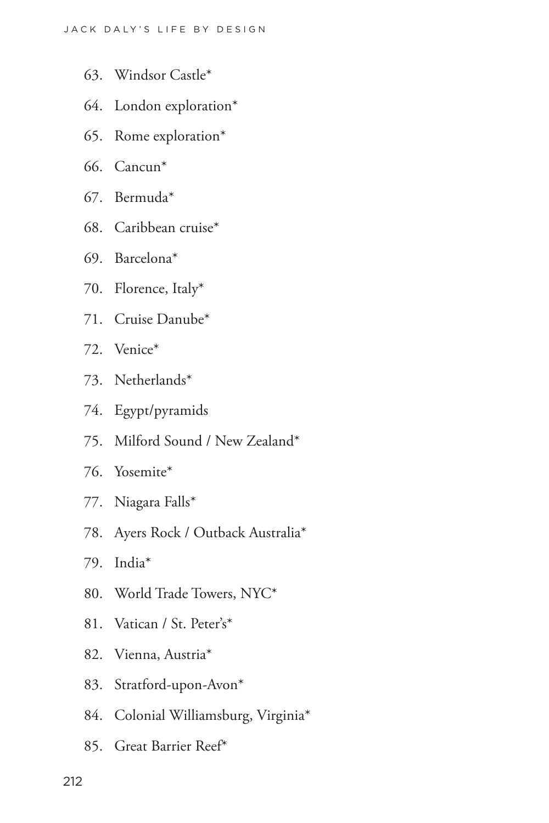- 63. Windsor Castle\*
- 64. London exploration\*
- 65. Rome exploration\*
- 66. Cancun\*
- 67. Bermuda\*
- 68. Caribbean cruise\*
- 69. Barcelona\*
- 70. Florence, Italy\*
- 71. Cruise Danube\*
- 72. Venice\*
- 73. Netherlands\*
- 74. Egypt/pyramids
- 75. Milford Sound / New Zealand\*
- 76. Yosemite\*
- 77. Niagara Falls\*
- 78. Ayers Rock / Outback Australia\*
- 79. India\*
- 80. World Trade Towers, NYC\*
- 81. Vatican / St. Peter's\*
- 82. Vienna, Austria\*
- 83. Stratford-upon-Avon\*
- 84. Colonial Williamsburg, Virginia\*
- 85. Great Barrier Reef\*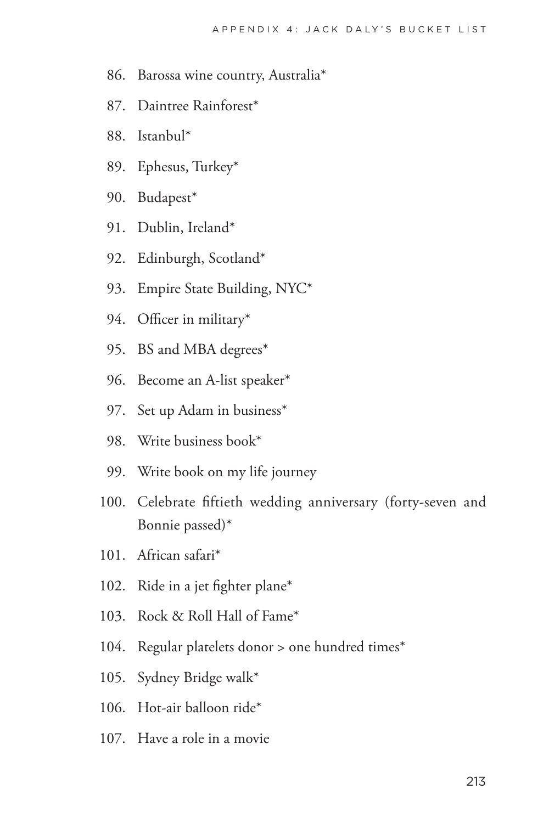- 86. Barossa wine country, Australia\*
- 87. Daintree Rainforest\*
- 88. Istanbul\*
- 89. Ephesus, Turkey\*
- 90. Budapest\*
- 91. Dublin, Ireland\*
- 92. Edinburgh, Scotland\*
- 93. Empire State Building, NYC\*
- 94. Officer in military\*
- 95. BS and MBA degrees\*
- 96. Become an A-list speaker\*
- 97. Set up Adam in business\*
- 98. Write business book\*
- 99. Write book on my life journey
- 100. Celebrate fiftieth wedding anniversary (forty-seven and Bonnie passed)\*
- 101. African safari\*
- 102. Ride in a jet fighter plane\*
- 103. Rock & Roll Hall of Fame\*
- 104. Regular platelets donor > one hundred times\*
- 105. Sydney Bridge walk\*
- 106. Hot-air balloon ride\*
- 107. Have a role in a movie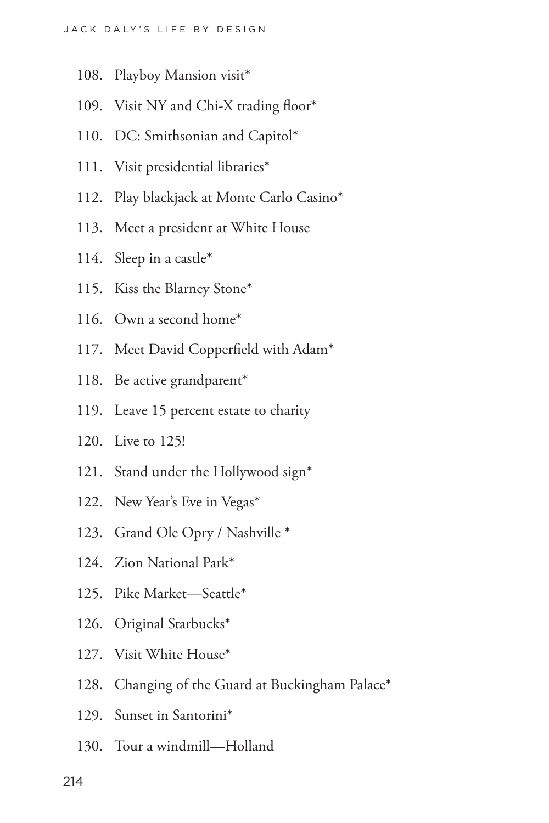- 108. Playboy Mansion visit\*
- 109. Visit NY and Chi-X trading floor\*
- 110. DC: Smithsonian and Capitol\*
- 111. Visit presidential libraries\*
- 112. Play blackjack at Monte Carlo Casino\*
- 113. Meet a president at White House
- 114. Sleep in a castle\*
- 115. Kiss the Blarney Stone\*
- 116. Own a second home\*
- 117. Meet David Copperfield with Adam\*
- 118. Be active grandparent\*
- 119. Leave 15 percent estate to charity
- 120. Live to 125!
- 121. Stand under the Hollywood sign\*
- 122. New Year's Eve in Vegas\*
- 123. Grand Ole Opry / Nashville \*
- 124. Zion National Park\*
- 125. Pike Market—Seattle\*
- 126. Original Starbucks\*
- 127. Visit White House\*
- 128. Changing of the Guard at Buckingham Palace\*
- 129. Sunset in Santorini\*
- 130. Tour a windmill—Holland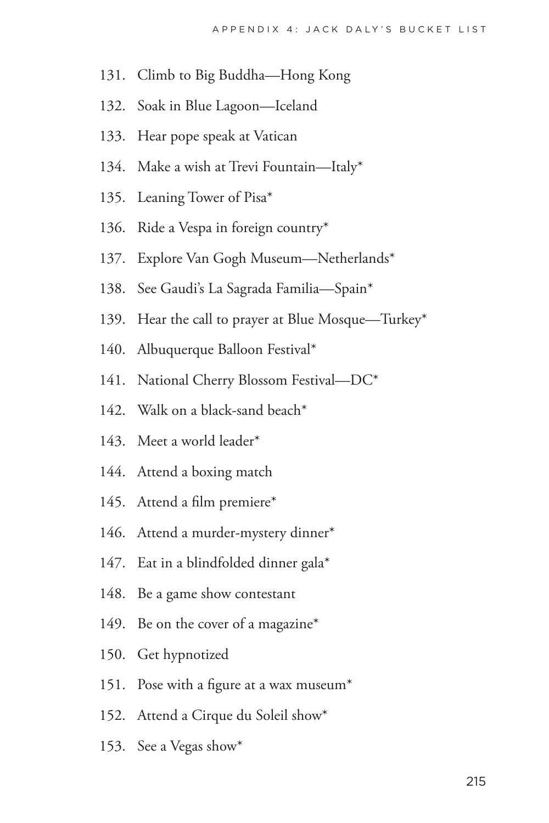- 131. Climb to Big Buddha—Hong Kong
- 132. Soak in Blue Lagoon—Iceland
- 133. Hear pope speak at Vatican
- 134. Make a wish at Trevi Fountain—Italy\*
- 135. Leaning Tower of Pisa\*
- 136. Ride a Vespa in foreign country\*
- 137. Explore Van Gogh Museum—Netherlands\*
- 138. See Gaudi's La Sagrada Familia—Spain\*
- 139. Hear the call to prayer at Blue Mosque—Turkey\*
- 140. Albuquerque Balloon Festival\*
- 141. National Cherry Blossom Festival—DC\*
- 142. Walk on a black-sand beach\*
- 143. Meet a world leader\*
- 144. Attend a boxing match
- 145. Attend a film premiere\*
- 146. Attend a murder-mystery dinner\*
- 147. Eat in a blindfolded dinner gala\*
- 148. Be a game show contestant
- 149. Be on the cover of a magazine\*
- 150. Get hypnotized
- 151. Pose with a figure at a wax museum\*
- 152. Attend a Cirque du Soleil show\*
- 153. See a Vegas show\*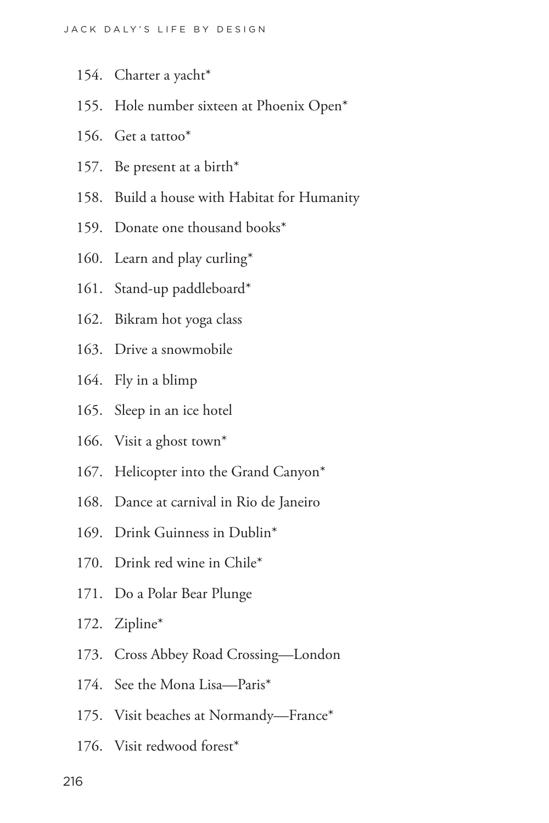- 154. Charter a yacht\*
- 155. Hole number sixteen at Phoenix Open\*
- 156. Get a tattoo\*
- 157. Be present at a birth\*
- 158. Build a house with Habitat for Humanity
- 159. Donate one thousand books\*
- 160. Learn and play curling\*
- 161. Stand-up paddleboard\*
- 162. Bikram hot yoga class
- 163. Drive a snowmobile
- 164. Fly in a blimp
- 165. Sleep in an ice hotel
- 166. Visit a ghost town\*
- 167. Helicopter into the Grand Canyon\*
- 168. Dance at carnival in Rio de Janeiro
- 169. Drink Guinness in Dublin\*
- 170. Drink red wine in Chile\*
- 171. Do a Polar Bear Plunge
- 172. Zipline\*
- 173. Cross Abbey Road Crossing—London
- 174. See the Mona Lisa—Paris\*
- 175. Visit beaches at Normandy—France\*
- 176. Visit redwood forest\*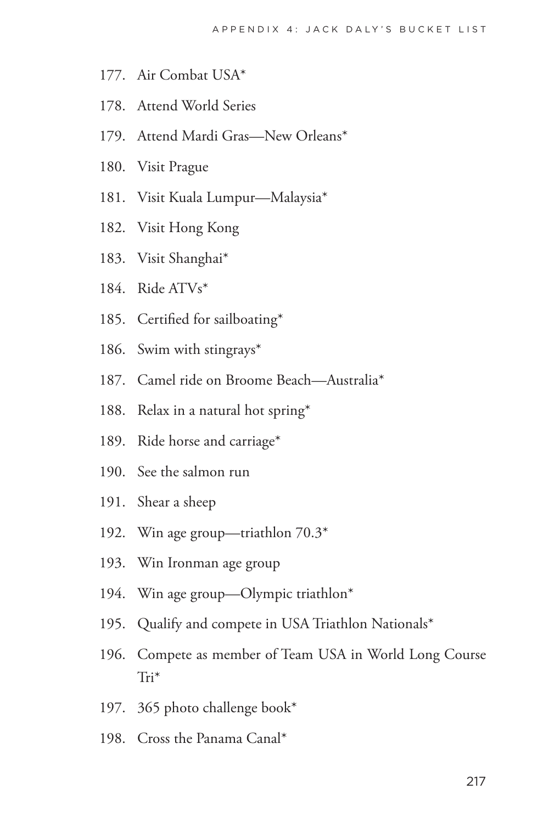- 177. Air Combat USA\*
- 178. Attend World Series
- 179. Attend Mardi Gras—New Orleans\*
- 180. Visit Prague
- 181. Visit Kuala Lumpur—Malaysia\*
- 182. Visit Hong Kong
- 183. Visit Shanghai\*
- 184. Ride ATVs\*
- 185. Certified for sailboating\*
- 186. Swim with stingrays\*
- 187. Camel ride on Broome Beach—Australia\*
- 188. Relax in a natural hot spring\*
- 189. Ride horse and carriage\*
- 190. See the salmon run
- 191. Shear a sheep
- 192. Win age group—triathlon 70.3\*
- 193. Win Ironman age group
- 194. Win age group—Olympic triathlon\*
- 195. Qualify and compete in USA Triathlon Nationals\*
- 196. Compete as member of Team USA in World Long Course Tri\*
- 197. 365 photo challenge book\*
- 198. Cross the Panama Canal\*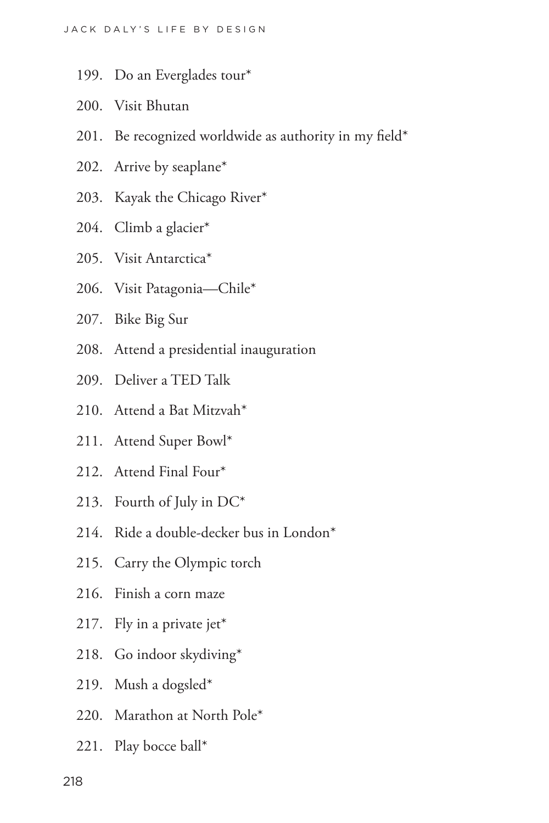- 199. Do an Everglades tour\*
- 200. Visit Bhutan
- 201. Be recognized worldwide as authority in my field\*
- 202. Arrive by seaplane\*
- 203. Kayak the Chicago River\*
- 204. Climb a glacier\*
- 205. Visit Antarctica\*
- 206. Visit Patagonia—Chile\*
- 207. Bike Big Sur
- 208. Attend a presidential inauguration
- 209. Deliver a TED Talk
- 210. Attend a Bat Mitzvah\*
- 211. Attend Super Bowl\*
- 212. Attend Final Four\*
- 213. Fourth of July in DC\*
- 214. Ride a double-decker bus in London\*
- 215. Carry the Olympic torch
- 216. Finish a corn maze
- 217. Fly in a private jet\*
- 218. Go indoor skydiving\*
- 219. Mush a dogsled\*
- 220. Marathon at North Pole\*
- 221. Play bocce ball\*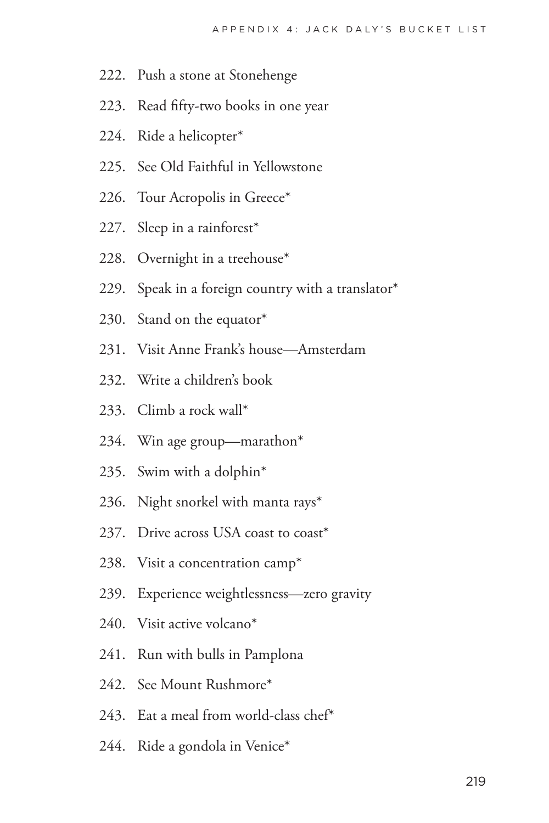- 222. Push a stone at Stonehenge
- 223. Read fifty-two books in one year
- 224. Ride a helicopter\*
- 225. See Old Faithful in Yellowstone
- 226. Tour Acropolis in Greece\*
- 227. Sleep in a rainforest\*
- 228. Overnight in a treehouse\*
- 229. Speak in a foreign country with a translator\*
- 230. Stand on the equator\*
- 231. Visit Anne Frank's house—Amsterdam
- 232. Write a children's book
- 233. Climb a rock wall\*
- 234. Win age group—marathon\*
- 235. Swim with a dolphin\*
- 236. Night snorkel with manta rays\*
- 237. Drive across USA coast to coast\*
- 238. Visit a concentration camp\*
- 239. Experience weightlessness—zero gravity
- 240. Visit active volcano\*
- 241. Run with bulls in Pamplona
- 242. See Mount Rushmore\*
- 243. Eat a meal from world-class chef\*
- 244. Ride a gondola in Venice\*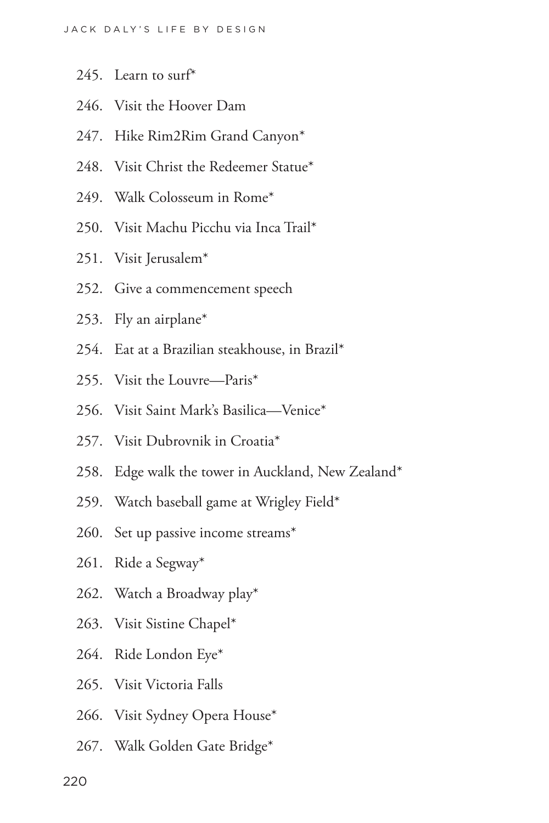- 245. Learn to surf\*
- 246. Visit the Hoover Dam
- 247. Hike Rim2Rim Grand Canyon\*
- 248. Visit Christ the Redeemer Statue\*
- 249. Walk Colosseum in Rome\*
- 250. Visit Machu Picchu via Inca Trail\*
- 251. Visit Jerusalem\*
- 252. Give a commencement speech
- 253. Fly an airplane\*
- 254. Eat at a Brazilian steakhouse, in Brazil\*
- 255. Visit the Louvre—Paris\*
- 256. Visit Saint Mark's Basilica—Venice\*
- 257. Visit Dubrovnik in Croatia\*
- 258. Edge walk the tower in Auckland, New Zealand\*
- 259. Watch baseball game at Wrigley Field\*
- 260. Set up passive income streams\*
- 261. Ride a Segway\*
- 262. Watch a Broadway play\*
- 263. Visit Sistine Chapel\*
- 264. Ride London Eye\*
- 265. Visit Victoria Falls
- 266. Visit Sydney Opera House\*
- 267. Walk Golden Gate Bridge\*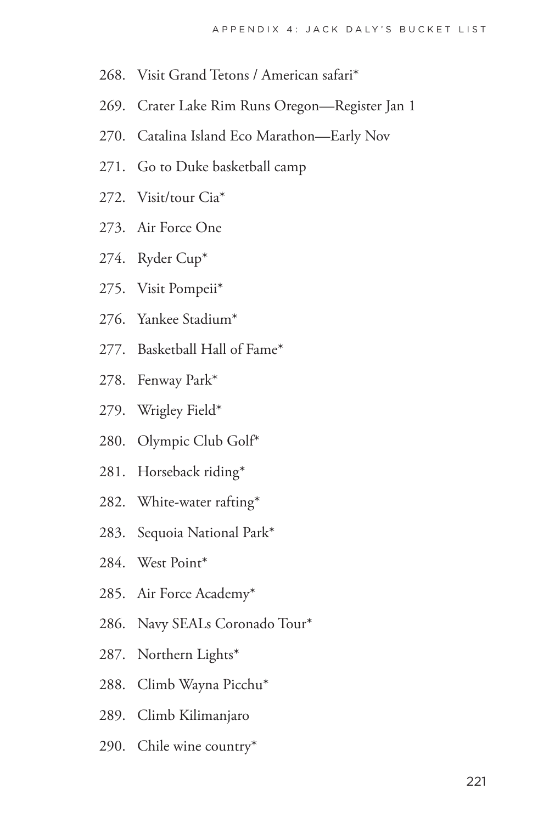- 268. Visit Grand Tetons / American safari\*
- 269. Crater Lake Rim Runs Oregon—Register Jan 1
- 270. Catalina Island Eco Marathon—Early Nov
- 271. Go to Duke basketball camp
- 272. Visit/tour Cia\*
- 273. Air Force One
- 274. Ryder Cup\*
- 275. Visit Pompeii\*
- 276. Yankee Stadium\*
- 277. Basketball Hall of Fame\*
- 278. Fenway Park\*
- 279. Wrigley Field\*
- 280. Olympic Club Golf\*
- 281. Horseback riding\*
- 282. White-water rafting\*
- 283. Sequoia National Park\*
- 284. West Point\*
- 285. Air Force Academy\*
- 286. Navy SEALs Coronado Tour\*
- 287. Northern Lights\*
- 288. Climb Wayna Picchu\*
- 289. Climb Kilimanjaro
- 290. Chile wine country\*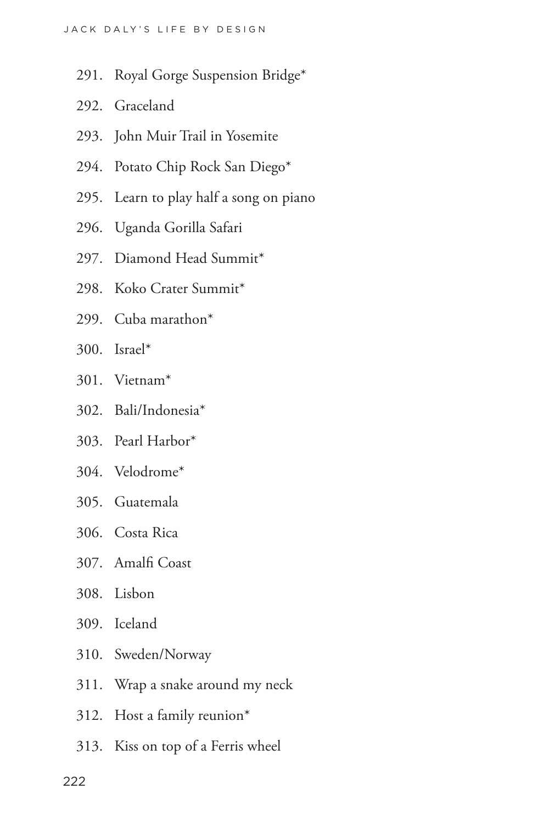- 291. Royal Gorge Suspension Bridge\*
- 292. Graceland
- 293. John Muir Trail in Yosemite
- 294. Potato Chip Rock San Diego\*
- 295. Learn to play half a song on piano
- 296. Uganda Gorilla Safari
- 297. Diamond Head Summit\*
- 298. Koko Crater Summit\*
- 299. Cuba marathon\*
- 300. Israel\*
- 301. Vietnam\*
- 302. Bali/Indonesia\*
- 303. Pearl Harbor\*
- 304. Velodrome\*
- 305. Guatemala
- 306. Costa Rica
- 307. Amalfi Coast
- 308. Lisbon
- 309. Iceland
- 310. Sweden/Norway
- 311. Wrap a snake around my neck
- 312. Host a family reunion\*
- 313. Kiss on top of a Ferris wheel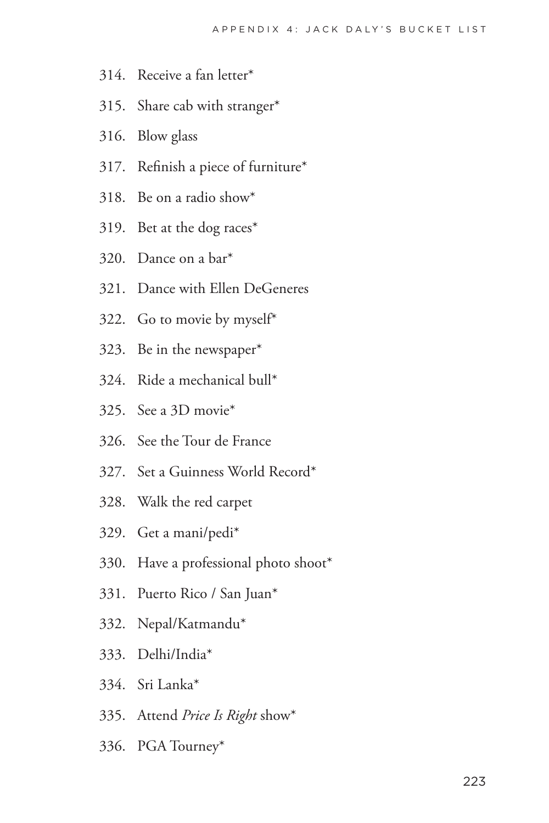- 314. Receive a fan letter\*
- 315. Share cab with stranger\*
- 316. Blow glass
- 317. Refinish a piece of furniture\*
- 318. Be on a radio show\*
- 319. Bet at the dog races\*
- 320. Dance on a bar\*
- 321. Dance with Ellen DeGeneres
- 322. Go to movie by myself\*
- 323. Be in the newspaper\*
- 324. Ride a mechanical bull\*
- 325. See a 3D movie\*
- 326. See the Tour de France
- 327. Set a Guinness World Record\*
- 328. Walk the red carpet
- 329. Get a mani/pedi\*
- 330. Have a professional photo shoot\*
- 331. Puerto Rico / San Juan\*
- 332. Nepal/Katmandu\*
- 333. Delhi/India\*
- 334. Sri Lanka\*
- 335. Attend *Price Is Right* show\*
- 336. PGA Tourney\*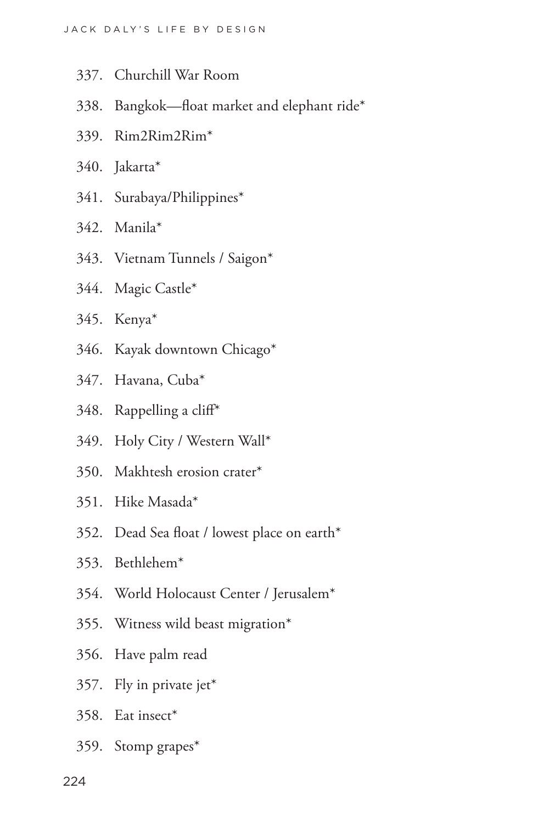- 337. Churchill War Room
- 338. Bangkok—float market and elephant ride\*
- 339. Rim2Rim2Rim\*
- 340. Jakarta\*
- 341. Surabaya/Philippines\*
- 342. Manila\*
- 343. Vietnam Tunnels / Saigon\*
- 344. Magic Castle\*
- 345. Kenya\*
- 346. Kayak downtown Chicago\*
- 347. Havana, Cuba\*
- 348. Rappelling a cliff\*
- 349. Holy City / Western Wall\*
- 350. Makhtesh erosion crater\*
- 351. Hike Masada\*
- 352. Dead Sea float / lowest place on earth\*
- 353. Bethlehem\*
- 354. World Holocaust Center / Jerusalem\*
- 355. Witness wild beast migration\*
- 356. Have palm read
- 357. Fly in private jet\*
- 358. Eat insect\*
- 359. Stomp grapes\*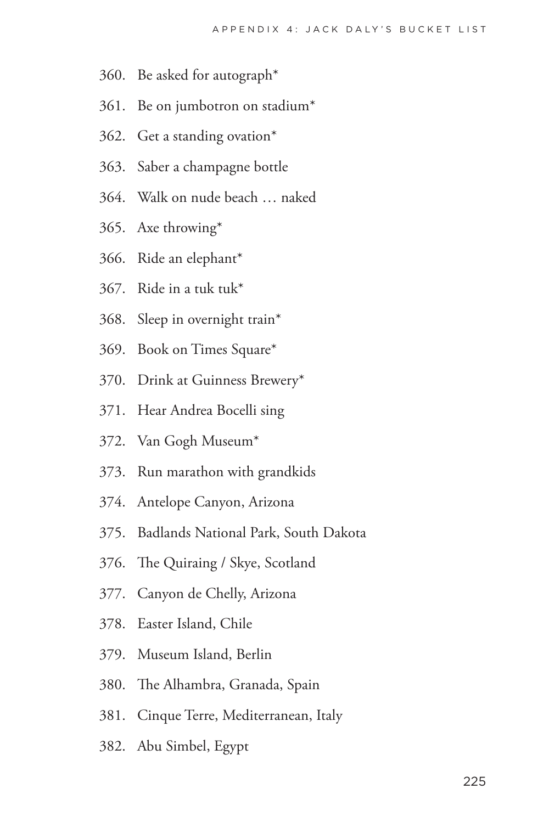- 360. Be asked for autograph\*
- 361. Be on jumbotron on stadium\*
- 362. Get a standing ovation\*
- 363. Saber a champagne bottle
- 364. Walk on nude beach … naked
- 365. Axe throwing\*
- 366. Ride an elephant\*
- 367. Ride in a tuk tuk\*
- 368. Sleep in overnight train\*
- 369. Book on Times Square\*
- 370. Drink at Guinness Brewery\*
- 371. Hear Andrea Bocelli sing
- 372. Van Gogh Museum\*
- 373. Run marathon with grandkids
- 374. Antelope Canyon, Arizona
- 375. Badlands National Park, South Dakota
- 376. The Quiraing / Skye, Scotland
- 377. Canyon de Chelly, Arizona
- 378. Easter Island, Chile
- 379. Museum Island, Berlin
- 380. The Alhambra, Granada, Spain
- 381. Cinque Terre, Mediterranean, Italy
- 382. Abu Simbel, Egypt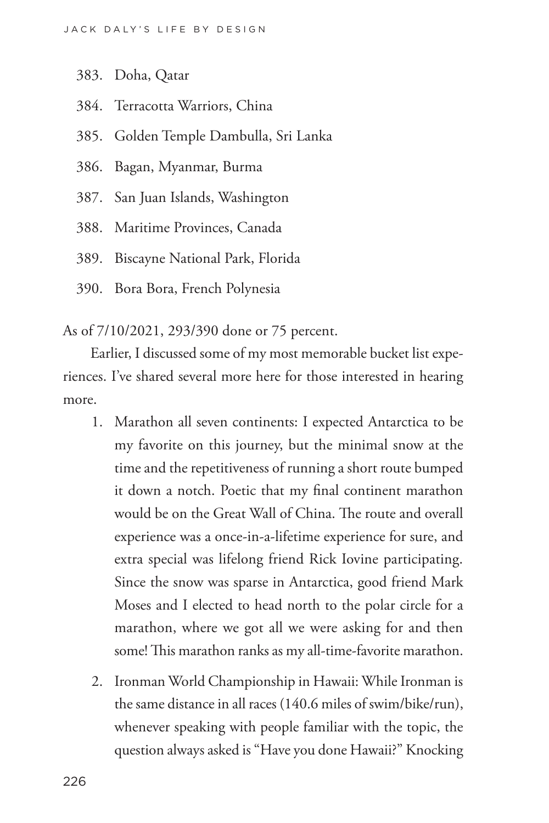- 383. Doha, Qatar
- 384. Terracotta Warriors, China
- 385. Golden Temple Dambulla, Sri Lanka
- 386. Bagan, Myanmar, Burma
- 387. San Juan Islands, Washington
- 388. Maritime Provinces, Canada
- 389. Biscayne National Park, Florida
- 390. Bora Bora, French Polynesia

As of 7/10/2021, 293/390 done or 75 percent.

Earlier, I discussed some of my most memorable bucket list experiences. I've shared several more here for those interested in hearing more.

- 1. Marathon all seven continents: I expected Antarctica to be my favorite on this journey, but the minimal snow at the time and the repetitiveness of running a short route bumped it down a notch. Poetic that my final continent marathon would be on the Great Wall of China. The route and overall experience was a once-in-a-lifetime experience for sure, and extra special was lifelong friend Rick Iovine participating. Since the snow was sparse in Antarctica, good friend Mark Moses and I elected to head north to the polar circle for a marathon, where we got all we were asking for and then some! This marathon ranks as my all-time-favorite marathon.
- 2. Ironman World Championship in Hawaii: While Ironman is the same distance in all races (140.6 miles of swim/bike/run), whenever speaking with people familiar with the topic, the question always asked is "Have you done Hawaii?" Knocking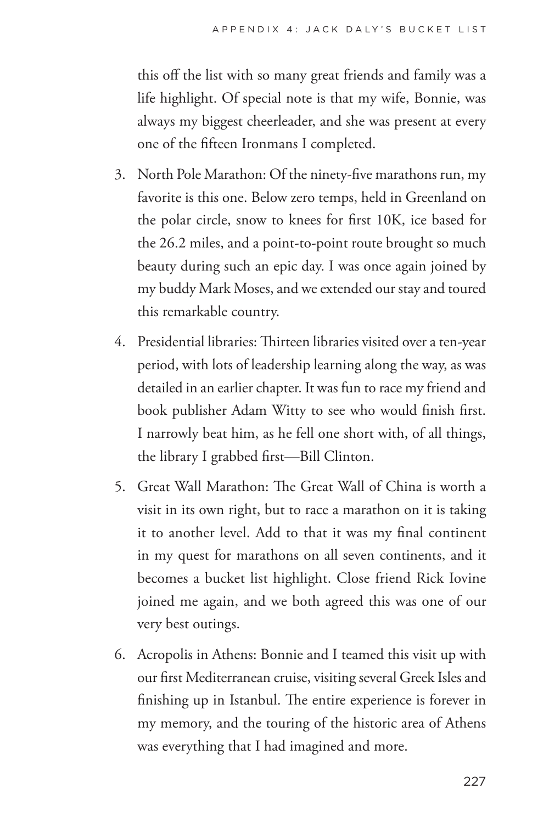this off the list with so many great friends and family was a life highlight. Of special note is that my wife, Bonnie, was always my biggest cheerleader, and she was present at every one of the fifteen Ironmans I completed.

- 3. North Pole Marathon: Of the ninety-five marathons run, my favorite is this one. Below zero temps, held in Greenland on the polar circle, snow to knees for first 10K, ice based for the 26.2 miles, and a point-to-point route brought so much beauty during such an epic day. I was once again joined by my buddy Mark Moses, and we extended our stay and toured this remarkable country.
- 4. Presidential libraries: Thirteen libraries visited over a ten-year period, with lots of leadership learning along the way, as was detailed in an earlier chapter. It was fun to race my friend and book publisher Adam Witty to see who would finish first. I narrowly beat him, as he fell one short with, of all things, the library I grabbed first—Bill Clinton.
- 5. Great Wall Marathon: The Great Wall of China is worth a visit in its own right, but to race a marathon on it is taking it to another level. Add to that it was my final continent in my quest for marathons on all seven continents, and it becomes a bucket list highlight. Close friend Rick Iovine joined me again, and we both agreed this was one of our very best outings.
- 6. Acropolis in Athens: Bonnie and I teamed this visit up with our first Mediterranean cruise, visiting several Greek Isles and finishing up in Istanbul. The entire experience is forever in my memory, and the touring of the historic area of Athens was everything that I had imagined and more.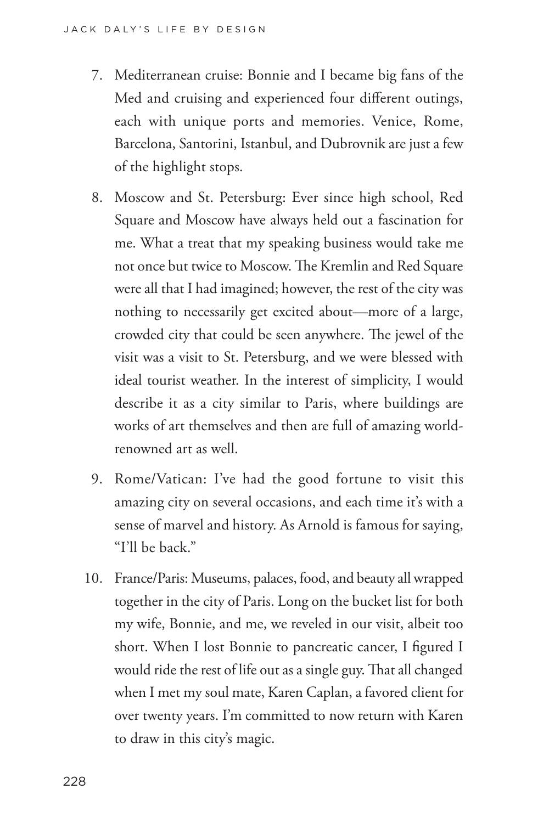- 7. Mediterranean cruise: Bonnie and I became big fans of the Med and cruising and experienced four different outings, each with unique ports and memories. Venice, Rome, Barcelona, Santorini, Istanbul, and Dubrovnik are just a few of the highlight stops.
- 8. Moscow and St. Petersburg: Ever since high school, Red Square and Moscow have always held out a fascination for me. What a treat that my speaking business would take me not once but twice to Moscow. The Kremlin and Red Square were all that I had imagined; however, the rest of the city was nothing to necessarily get excited about—more of a large, crowded city that could be seen anywhere. The jewel of the visit was a visit to St. Petersburg, and we were blessed with ideal tourist weather. In the interest of simplicity, I would describe it as a city similar to Paris, where buildings are works of art themselves and then are full of amazing worldrenowned art as well.
- 9. Rome/Vatican: I've had the good fortune to visit this amazing city on several occasions, and each time it's with a sense of marvel and history. As Arnold is famous for saying, "I'll be back."
- 10. France/Paris: Museums, palaces, food, and beauty all wrapped together in the city of Paris. Long on the bucket list for both my wife, Bonnie, and me, we reveled in our visit, albeit too short. When I lost Bonnie to pancreatic cancer, I figured I would ride the rest of life out as a single guy. That all changed when I met my soul mate, Karen Caplan, a favored client for over twenty years. I'm committed to now return with Karen to draw in this city's magic.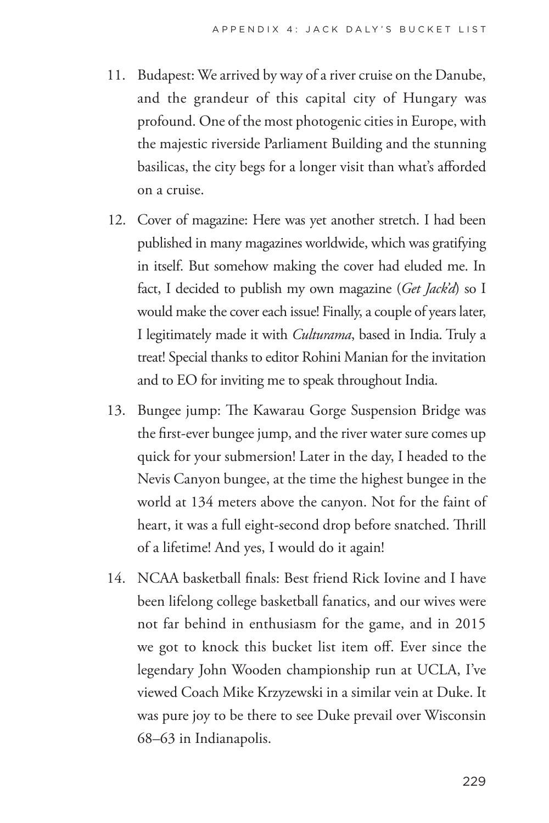- 11. Budapest: We arrived by way of a river cruise on the Danube, and the grandeur of this capital city of Hungary was profound. One of the most photogenic cities in Europe, with the majestic riverside Parliament Building and the stunning basilicas, the city begs for a longer visit than what's afforded on a cruise.
- 12. Cover of magazine: Here was yet another stretch. I had been published in many magazines worldwide, which was gratifying in itself. But somehow making the cover had eluded me. In fact, I decided to publish my own magazine (*Get Jack'd*) so I would make the cover each issue! Finally, a couple of years later, I legitimately made it with *Culturama*, based in India. Truly a treat! Special thanks to editor Rohini Manian for the invitation and to EO for inviting me to speak throughout India.
- 13. Bungee jump: The Kawarau Gorge Suspension Bridge was the first-ever bungee jump, and the river water sure comes up quick for your submersion! Later in the day, I headed to the Nevis Canyon bungee, at the time the highest bungee in the world at 134 meters above the canyon. Not for the faint of heart, it was a full eight-second drop before snatched. Thrill of a lifetime! And yes, I would do it again!
- 14. NCAA basketball finals: Best friend Rick Iovine and I have been lifelong college basketball fanatics, and our wives were not far behind in enthusiasm for the game, and in 2015 we got to knock this bucket list item off. Ever since the legendary John Wooden championship run at UCLA, I've viewed Coach Mike Krzyzewski in a similar vein at Duke. It was pure joy to be there to see Duke prevail over Wisconsin 68–63 in Indianapolis.